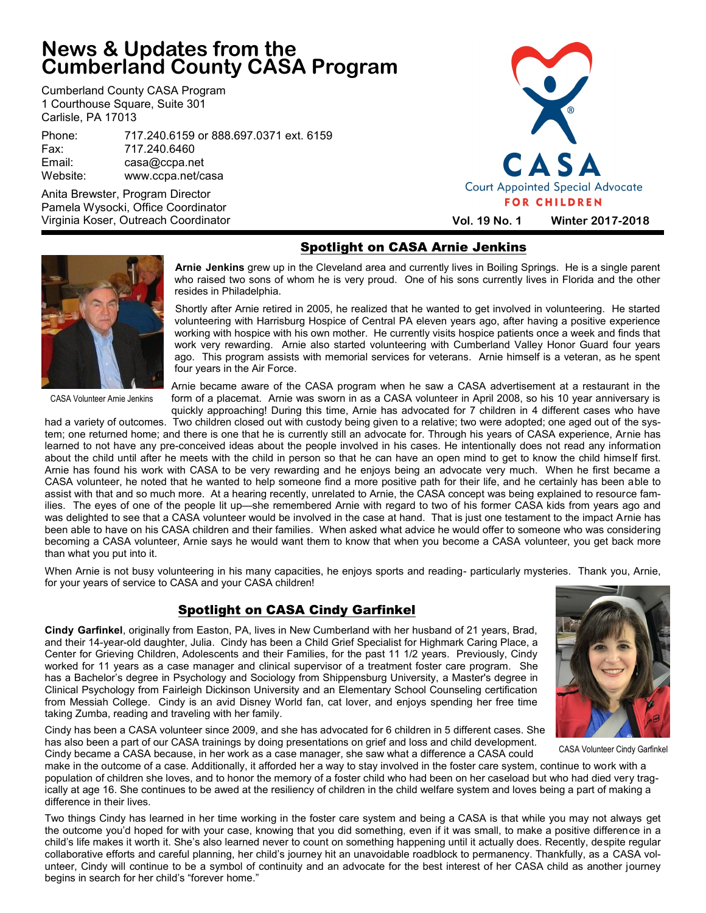# **News & Updates from the Cumberland County CASA Program**

Cumberland County CASA Program 1 Courthouse Square, Suite 301 Carlisle, PA 17013

Phone: 717.240.6159 or 888.697.0371 ext. 6159 Fax: 717.240.6460 Email: casa@ccpa.net Website: www.ccpa.net/casa

Anita Brewster, Program Director Pamela Wysocki, Office Coordinator Virginia Koser, Outreach Coordinator



## Spotlight on CASA Arnie Jenkins



 **Arnie Jenkins** grew up in the Cleveland area and currently lives in Boiling Springs. He is a single parent who raised two sons of whom he is very proud. One of his sons currently lives in Florida and the other resides in Philadelphia.

 Shortly after Arnie retired in 2005, he realized that he wanted to get involved in volunteering. He started volunteering with Harrisburg Hospice of Central PA eleven years ago, after having a positive experience working with hospice with his own mother. He currently visits hospice patients once a week and finds that work very rewarding. Arnie also started volunteering with Cumberland Valley Honor Guard four years ago. This program assists with memorial services for veterans. Arnie himself is a veteran, as he spent four years in the Air Force.

CASA Volunteer Arnie Jenkins

Arnie became aware of the CASA program when he saw a CASA advertisement at a restaurant in the form of a placemat. Arnie was sworn in as a CASA volunteer in April 2008, so his 10 year anniversary is quickly approaching! During this time, Arnie has advocated for 7 children in 4 different cases who have

had a variety of outcomes. Two children closed out with custody being given to a relative; two were adopted; one aged out of the system; one returned home; and there is one that he is currently still an advocate for. Through his years of CASA experience, Arnie has learned to not have any pre-conceived ideas about the people involved in his cases. He intentionally does not read any information about the child until after he meets with the child in person so that he can have an open mind to get to know the child himself first. Arnie has found his work with CASA to be very rewarding and he enjoys being an advocate very much. When he first became a CASA volunteer, he noted that he wanted to help someone find a more positive path for their life, and he certainly has been able to assist with that and so much more. At a hearing recently, unrelated to Arnie, the CASA concept was being explained to resource families. The eyes of one of the people lit up—she remembered Arnie with regard to two of his former CASA kids from years ago and was delighted to see that a CASA volunteer would be involved in the case at hand. That is just one testament to the impact Arnie has been able to have on his CASA children and their families. When asked what advice he would offer to someone who was considering becoming a CASA volunteer, Arnie says he would want them to know that when you become a CASA volunteer, you get back more than what you put into it.

When Arnie is not busy volunteering in his many capacities, he enjoys sports and reading- particularly mysteries. Thank you, Arnie, for your years of service to CASA and your CASA children!

#### Spotlight on CASA Cindy Garfinkel

**Cindy Garfinkel**, originally from Easton, PA, lives in New Cumberland with her husband of 21 years, Brad, and their 14-year-old daughter, Julia. Cindy has been a Child Grief Specialist for Highmark Caring Place, a Center for Grieving Children, Adolescents and their Families, for the past 11 1/2 years. Previously, Cindy worked for 11 years as a case manager and clinical supervisor of a treatment foster care program. She has a Bachelor's degree in Psychology and Sociology from Shippensburg University, a Master's degree in Clinical Psychology from Fairleigh Dickinson University and an Elementary School Counseling certification from Messiah College. Cindy is an avid Disney World fan, cat lover, and enjoys spending her free time taking Zumba, reading and traveling with her family.

Cindy has been a CASA volunteer since 2009, and she has advocated for 6 children in 5 different cases. She has also been a part of our CASA trainings by doing presentations on grief and loss and child development. Cindy became a CASA because, in her work as a case manager, she saw what a difference a CASA could



CASA Volunteer Cindy Garfinkel

make in the outcome of a case. Additionally, it afforded her a way to stay involved in the foster care system, continue to work with a population of children she loves, and to honor the memory of a foster child who had been on her caseload but who had died very tragically at age 16. She continues to be awed at the resiliency of children in the child welfare system and loves being a part of making a difference in their lives.

Two things Cindy has learned in her time working in the foster care system and being a CASA is that while you may not always get the outcome you'd hoped for with your case, knowing that you did something, even if it was small, to make a positive difference in a child's life makes it worth it. She's also learned never to count on something happening until it actually does. Recently, despite regular collaborative efforts and careful planning, her child's journey hit an unavoidable roadblock to permanency. Thankfully, as a CASA volunteer, Cindy will continue to be a symbol of continuity and an advocate for the best interest of her CASA child as another journey begins in search for her child's "forever home."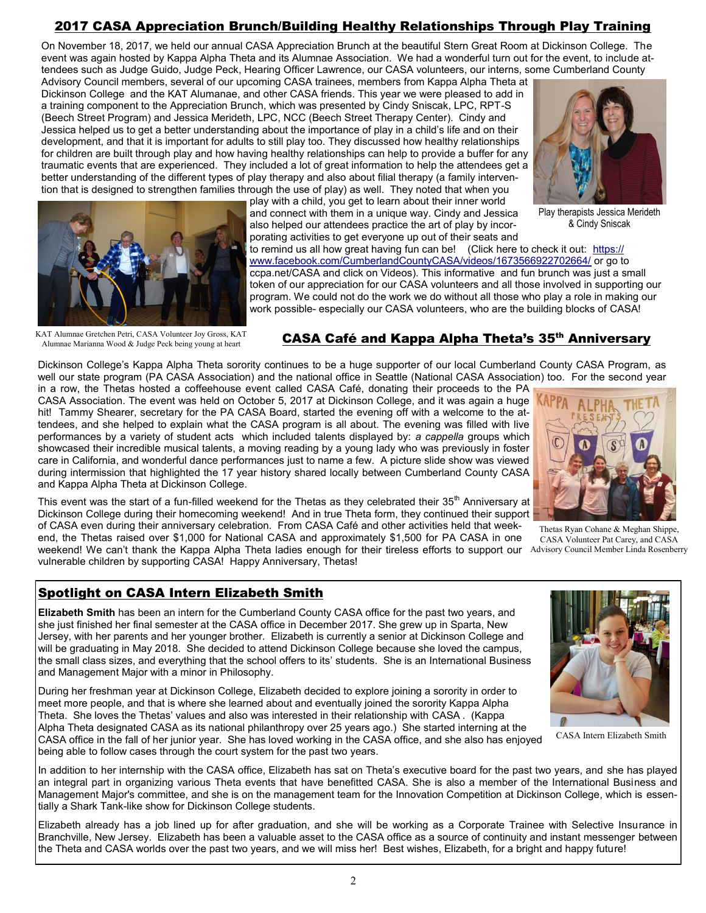# 2017 CASA Appreciation Brunch/Building Healthy Relationships Through Play Training

On November 18, 2017, we held our annual CASA Appreciation Brunch at the beautiful Stern Great Room at Dickinson College. The event was again hosted by Kappa Alpha Theta and its Alumnae Association. We had a wonderful turn out for the event, to include attendees such as Judge Guido, Judge Peck, Hearing Officer Lawrence, our CASA volunteers, our interns, some Cumberland County

Advisory Council members, several of our upcoming CASA trainees, members from Kappa Alpha Theta at Dickinson College and the KAT Alumanae, and other CASA friends. This year we were pleased to add in a training component to the Appreciation Brunch, which was presented by Cindy Sniscak, LPC, RPT-S (Beech Street Program) and Jessica Merideth, LPC, NCC (Beech Street Therapy Center). Cindy and Jessica helped us to get a better understanding about the importance of play in a child's life and on their development, and that it is important for adults to still play too. They discussed how healthy relationships for children are built through play and how having healthy relationships can help to provide a buffer for any traumatic events that are experienced. They included a lot of great information to help the attendees get a better understanding of the different types of play therapy and also about filial therapy (a family intervention that is designed to strengthen families through the use of play) as well. They noted that when you



Play therapists Jessica Merideth & Cindy Sniscak



KAT Alumnae Gretchen Petri, CASA Volunteer Joy Gross, KAT Alumnae Marianna Wood & Judge Peck being young at heart

#### also helped our attendees practice the art of play by incorporating activities to get everyone up out of their seats and to remind us all how great having fun can be! (Click here to check it out: [https://](https://www.facebook.com/CumberlandCountyCASA/videos/1673566922702664/) [www.facebook.com/CumberlandCountyCASA/videos/1673566922702664/](https://www.facebook.com/CumberlandCountyCASA/videos/1673566922702664/) or go to

play with a child, you get to learn about their inner world and connect with them in a unique way. Cindy and Jessica

ccpa.net/CASA and click on Videos). This informative and fun brunch was just a small token of our appreciation for our CASA volunteers and all those involved in supporting our program. We could not do the work we do without all those who play a role in making our work possible- especially our CASA volunteers, who are the building blocks of CASA!

#### CASA Café and Kappa Alpha Theta's 35<sup>th</sup> Anniversary

Dickinson College's Kappa Alpha Theta sorority continues to be a huge supporter of our local Cumberland County CASA Program, as well our state program (PA CASA Association) and the national office in Seattle (National CASA Association) too. For the second year

in a row, the Thetas hosted a coffeehouse event called CASA Café, donating their proceeds to the PA CASA Association. The event was held on October 5, 2017 at Dickinson College, and it was again a huge hit! Tammy Shearer, secretary for the PA CASA Board, started the evening off with a welcome to the attendees, and she helped to explain what the CASA program is all about. The evening was filled with live performances by a variety of student acts which included talents displayed by: *a cappella* groups which showcased their incredible musical talents, a moving reading by a young lady who was previously in foster care in California, and wonderful dance performances just to name a few. A picture slide show was viewed during intermission that highlighted the 17 year history shared locally between Cumberland County CASA and Kappa Alpha Theta at Dickinson College.



Thetas Ryan Cohane & Meghan Shippe, CASA Volunteer Pat Carey, and CASA

This event was the start of a fun-filled weekend for the Thetas as they celebrated their  $35<sup>th</sup>$  Anniversary at Dickinson College during their homecoming weekend! And in true Theta form, they continued their support of CASA even during their anniversary celebration. From CASA Café and other activities held that week-

end, the Thetas raised over \$1,000 for National CASA and approximately \$1,500 for PA CASA in one weekend! We can't thank the Kappa Alpha Theta ladies enough for their tireless efforts to support our Advisory Council Member Linda Rosenberry vulnerable children by supporting CASA! Happy Anniversary, Thetas!

#### Spotlight on CASA Intern Elizabeth Smith

**Elizabeth Smith** has been an intern for the Cumberland County CASA office for the past two years, and she just finished her final semester at the CASA office in December 2017. She grew up in Sparta, New Jersey, with her parents and her younger brother. Elizabeth is currently a senior at Dickinson College and will be graduating in May 2018. She decided to attend Dickinson College because she loved the campus, the small class sizes, and everything that the school offers to its' students. She is an International Business and Management Major with a minor in Philosophy.

During her freshman year at Dickinson College, Elizabeth decided to explore joining a sorority in order to meet more people, and that is where she learned about and eventually joined the sorority Kappa Alpha Theta. She loves the Thetas' values and also was interested in their relationship with CASA . (Kappa Alpha Theta designated CASA as its national philanthropy over 25 years ago.) She started interning at the CASA office in the fall of her junior year. She has loved working in the CASA office, and she also has enjoyed being able to follow cases through the court system for the past two years.

In addition to her internship with the CASA office, Elizabeth has sat on Theta's executive board for the past two years, and she has played an integral part in organizing various Theta events that have benefitted CASA. She is also a member of the International Business and Management Major's committee, and she is on the management team for the Innovation Competition at Dickinson College, which is essentially a Shark Tank-like show for Dickinson College students.

Elizabeth already has a job lined up for after graduation, and she will be working as a Corporate Trainee with Selective Insurance in Branchville, New Jersey. Elizabeth has been a valuable asset to the CASA office as a source of continuity and instant messenger between the Theta and CASA worlds over the past two years, and we will miss her! Best wishes, Elizabeth, for a bright and happy future!



CASA Intern Elizabeth Smith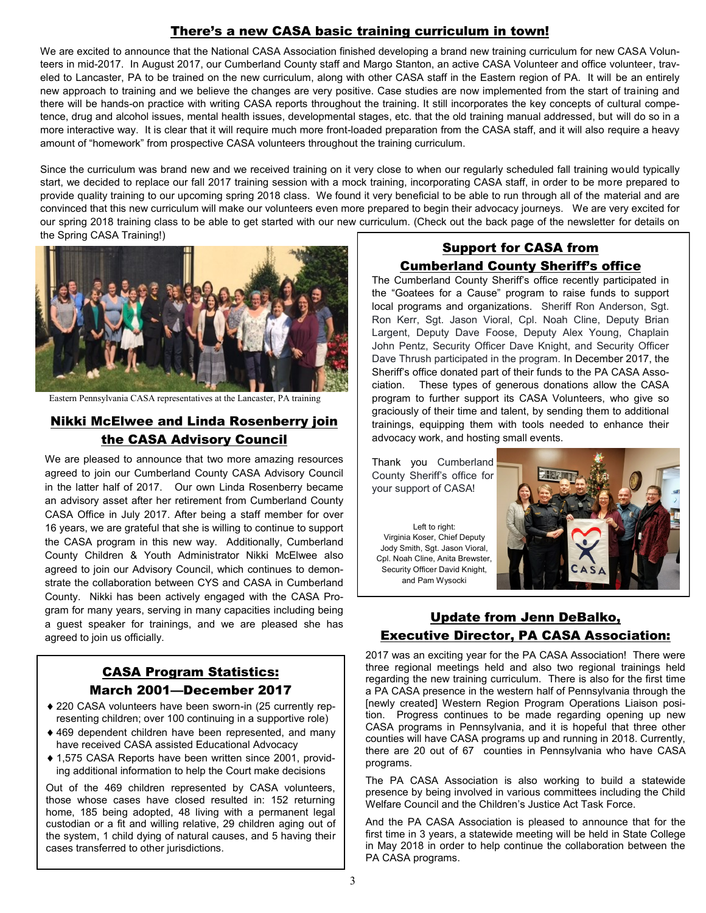## There's a new CASA basic training curriculum in town!

We are excited to announce that the National CASA Association finished developing a brand new training curriculum for new CASA Volunteers in mid-2017. In August 2017, our Cumberland County staff and Margo Stanton, an active CASA Volunteer and office volunteer, traveled to Lancaster, PA to be trained on the new curriculum, along with other CASA staff in the Eastern region of PA. It will be an entirely new approach to training and we believe the changes are very positive. Case studies are now implemented from the start of training and there will be hands-on practice with writing CASA reports throughout the training. It still incorporates the key concepts of cultural competence, drug and alcohol issues, mental health issues, developmental stages, etc. that the old training manual addressed, but will do so in a more interactive way. It is clear that it will require much more front-loaded preparation from the CASA staff, and it will also require a heavy amount of "homework" from prospective CASA volunteers throughout the training curriculum.

Since the curriculum was brand new and we received training on it very close to when our regularly scheduled fall training would typically start, we decided to replace our fall 2017 training session with a mock training, incorporating CASA staff, in order to be more prepared to provide quality training to our upcoming spring 2018 class. We found it very beneficial to be able to run through all of the material and are convinced that this new curriculum will make our volunteers even more prepared to begin their advocacy journeys. We are very excited for our spring 2018 training class to be able to get started with our new curriculum. (Check out the back page of the newsletter for details on the Spring CASA Training!)



Eastern Pennsylvania CASA representatives at the Lancaster, PA training

#### Nikki McElwee and Linda Rosenberry join the CASA Advisory Council

We are pleased to announce that two more amazing resources agreed to join our Cumberland County CASA Advisory Council in the latter half of 2017. Our own Linda Rosenberry became an advisory asset after her retirement from Cumberland County CASA Office in July 2017. After being a staff member for over 16 years, we are grateful that she is willing to continue to support the CASA program in this new way. Additionally, Cumberland County Children & Youth Administrator Nikki McElwee also agreed to join our Advisory Council, which continues to demonstrate the collaboration between CYS and CASA in Cumberland County. Nikki has been actively engaged with the CASA Program for many years, serving in many capacities including being a guest speaker for trainings, and we are pleased she has agreed to join us officially.

## CASA Program Statistics: March 2001—December 2017

- ◆ 220 CASA volunteers have been sworn-in (25 currently representing children; over 100 continuing in a supportive role)
- 469 dependent children have been represented, and many have received CASA assisted Educational Advocacy
- ◆ 1.575 CASA Reports have been written since 2001, providing additional information to help the Court make decisions

Out of the 469 children represented by CASA volunteers, those whose cases have closed resulted in: 152 returning home, 185 being adopted, 48 living with a permanent legal custodian or a fit and willing relative, 29 children aging out of the system, 1 child dying of natural causes, and 5 having their cases transferred to other jurisdictions.

#### Support for CASA from Cumberland County Sheriff's office

The Cumberland County Sheriff's office recently participated in the "Goatees for a Cause" program to raise funds to support local programs and organizations. Sheriff Ron Anderson, Sgt. Ron Kerr, Sgt. Jason Vioral, Cpl. Noah Cline, Deputy Brian Largent, Deputy Dave Foose, Deputy Alex Young, Chaplain John Pentz, Security Officer Dave Knight, and Security Officer Dave Thrush participated in the program. In December 2017, the Sheriff's office donated part of their funds to the PA CASA Association. These types of generous donations allow the CASA program to further support its CASA Volunteers, who give so graciously of their time and talent, by sending them to additional trainings, equipping them with tools needed to enhance their advocacy work, and hosting small events.

Thank you Cumberland County Sheriff's office for your support of CASA!

Left to right: Virginia Koser, Chief Deputy Jody Smith, Sgt. Jason Vioral, Cpl. Noah Cline, Anita Brewster, Security Officer David Knight, and Pam Wysocki



#### Update from Jenn DeBalko, Executive Director, PA CASA Association:

2017 was an exciting year for the PA CASA Association! There were three regional meetings held and also two regional trainings held regarding the new training curriculum. There is also for the first time a PA CASA presence in the western half of Pennsylvania through the [newly created] Western Region Program Operations Liaison position. Progress continues to be made regarding opening up new CASA programs in Pennsylvania, and it is hopeful that three other counties will have CASA programs up and running in 2018. Currently, there are 20 out of 67 counties in Pennsylvania who have CASA programs.

The PA CASA Association is also working to build a statewide presence by being involved in various committees including the Child Welfare Council and the Children's Justice Act Task Force.

And the PA CASA Association is pleased to announce that for the first time in 3 years, a statewide meeting will be held in State College in May 2018 in order to help continue the collaboration between the PA CASA programs.